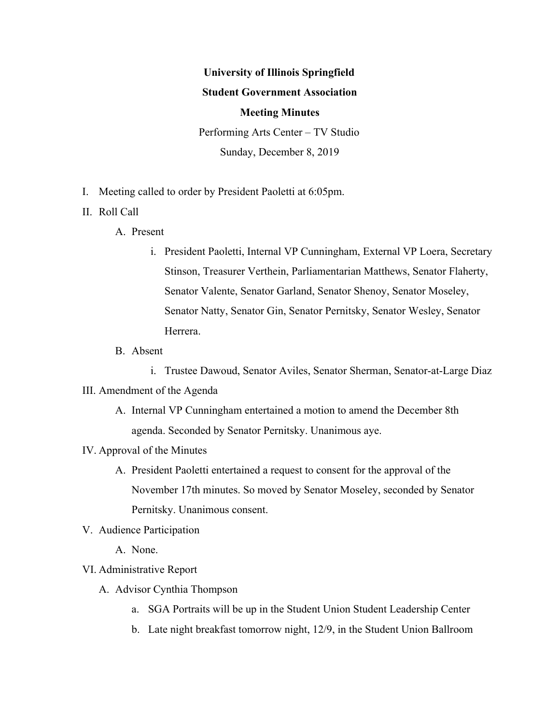# **University of Illinois Springfield Student Government Association Meeting Minutes** Performing Arts Center – TV Studio

Sunday, December 8, 2019

- I. Meeting called to order by President Paoletti at 6:05pm.
- II. Roll Call
	- A. Present
		- i. President Paoletti, Internal VP Cunningham, External VP Loera, Secretary Stinson, Treasurer Verthein, Parliamentarian Matthews, Senator Flaherty, Senator Valente, Senator Garland, Senator Shenoy, Senator Moseley, Senator Natty, Senator Gin, Senator Pernitsky, Senator Wesley, Senator Herrera.
	- B. Absent

i. Trustee Dawoud, Senator Aviles, Senator Sherman, Senator-at-Large Diaz III. Amendment of the Agenda

- A. Internal VP Cunningham entertained a motion to amend the December 8th agenda. Seconded by Senator Pernitsky. Unanimous aye.
- IV. Approval of the Minutes
	- A. President Paoletti entertained a request to consent for the approval of the November 17th minutes. So moved by Senator Moseley, seconded by Senator Pernitsky. Unanimous consent.
- V. Audience Participation

A. None.

- VI. Administrative Report
	- A. Advisor Cynthia Thompson
		- a. SGA Portraits will be up in the Student Union Student Leadership Center
		- b. Late night breakfast tomorrow night, 12/9, in the Student Union Ballroom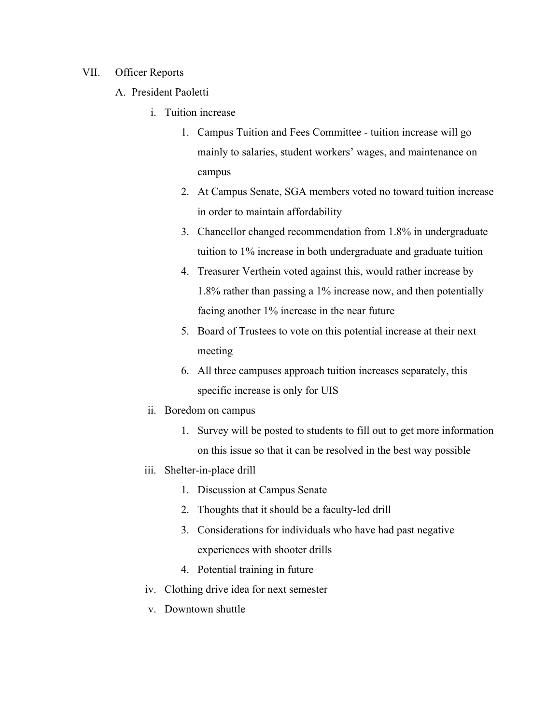### VII. Officer Reports

- A. President Paoletti
	- i. Tuition increase
		- 1. Campus Tuition and Fees Committee tuition increase will go mainly to salaries, student workers' wages, and maintenance on campus
		- 2. At Campus Senate, SGA members voted no toward tuition increase in order to maintain affordability
		- 3. Chancellor changed recommendation from 1.8% in undergraduate tuition to 1% increase in both undergraduate and graduate tuition
		- 4. Treasurer Verthein voted against this, would rather increase by 1.8% rather than passing a 1% increase now, and then potentially facing another 1% increase in the near future
		- 5. Board of Trustees to vote on this potential increase at their next meeting
		- 6. All three campuses approach tuition increases separately, this specific increase is only for UIS
	- ii. Boredom on campus
		- 1. Survey will be posted to students to fill out to get more information on this issue so that it can be resolved in the best way possible
	- iii. Shelter-in-place drill
		- 1. Discussion at Campus Senate
		- 2. Thoughts that it should be a faculty-led drill
		- 3. Considerations for individuals who have had past negative experiences with shooter drills
		- 4. Potential training in future
	- iv. Clothing drive idea for next semester
	- v. Downtown shuttle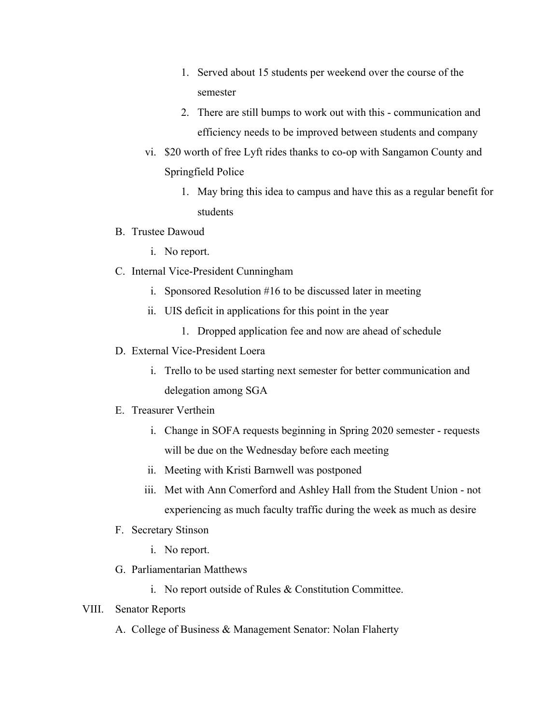- 1. Served about 15 students per weekend over the course of the semester
- 2. There are still bumps to work out with this communication and efficiency needs to be improved between students and company
- vi. \$20 worth of free Lyft rides thanks to co-op with Sangamon County and Springfield Police
	- 1. May bring this idea to campus and have this as a regular benefit for students
- B. Trustee Dawoud
	- i. No report.
- C. Internal Vice-President Cunningham
	- i. Sponsored Resolution #16 to be discussed later in meeting
	- ii. UIS deficit in applications for this point in the year
		- 1. Dropped application fee and now are ahead of schedule
- D. External Vice-President Loera
	- i. Trello to be used starting next semester for better communication and delegation among SGA

## E. Treasurer Verthein

- i. Change in SOFA requests beginning in Spring 2020 semester requests will be due on the Wednesday before each meeting
- ii. Meeting with Kristi Barnwell was postponed
- iii. Met with Ann Comerford and Ashley Hall from the Student Union not experiencing as much faculty traffic during the week as much as desire
- F. Secretary Stinson
	- i. No report.
- G. Parliamentarian Matthews
	- i. No report outside of Rules & Constitution Committee.

### VIII. Senator Reports

A. College of Business & Management Senator: Nolan Flaherty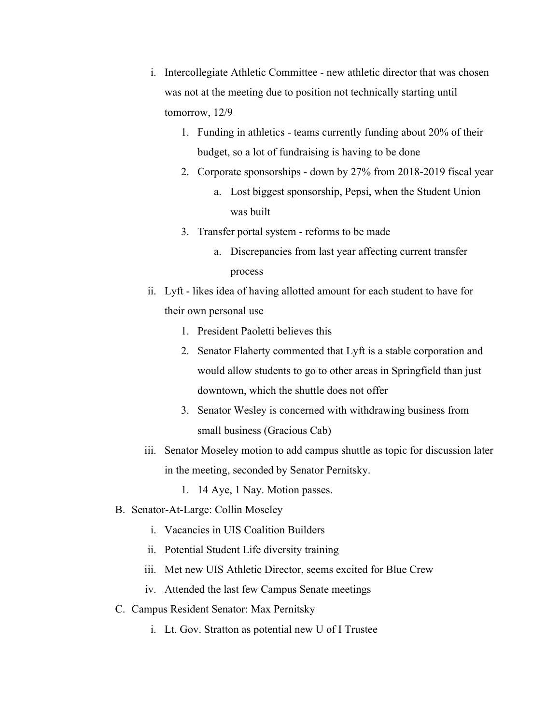- i. Intercollegiate Athletic Committee new athletic director that was chosen was not at the meeting due to position not technically starting until tomorrow, 12/9
	- 1. Funding in athletics teams currently funding about 20% of their budget, so a lot of fundraising is having to be done
	- 2. Corporate sponsorships down by 27% from 2018-2019 fiscal year
		- a. Lost biggest sponsorship, Pepsi, when the Student Union was built
	- 3. Transfer portal system reforms to be made
		- a. Discrepancies from last year affecting current transfer process
- ii. Lyft likes idea of having allotted amount for each student to have for their own personal use
	- 1. President Paoletti believes this
	- 2. Senator Flaherty commented that Lyft is a stable corporation and would allow students to go to other areas in Springfield than just downtown, which the shuttle does not offer
	- 3. Senator Wesley is concerned with withdrawing business from small business (Gracious Cab)
- iii. Senator Moseley motion to add campus shuttle as topic for discussion later in the meeting, seconded by Senator Pernitsky.
	- 1. 14 Aye, 1 Nay. Motion passes.
- B. Senator-At-Large: Collin Moseley
	- i. Vacancies in UIS Coalition Builders
	- ii. Potential Student Life diversity training
	- iii. Met new UIS Athletic Director, seems excited for Blue Crew
	- iv. Attended the last few Campus Senate meetings
- C. Campus Resident Senator: Max Pernitsky
	- i. Lt. Gov. Stratton as potential new U of I Trustee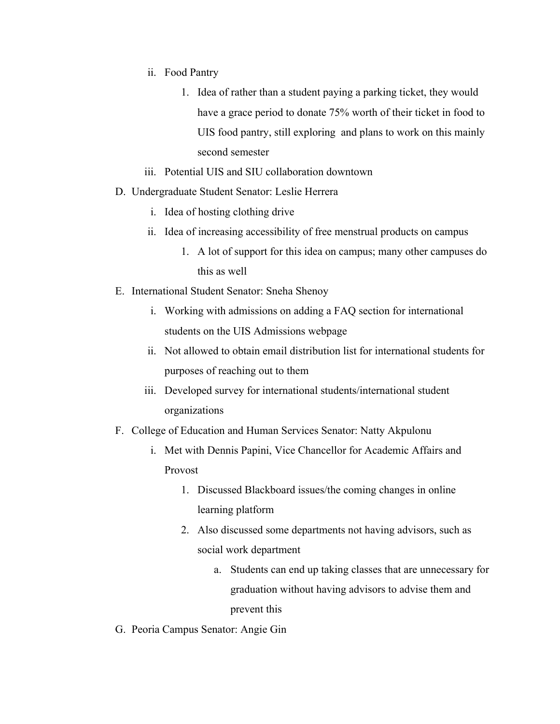- ii. Food Pantry
	- 1. Idea of rather than a student paying a parking ticket, they would have a grace period to donate 75% worth of their ticket in food to UIS food pantry, still exploring and plans to work on this mainly second semester
- iii. Potential UIS and SIU collaboration downtown
- D. Undergraduate Student Senator: Leslie Herrera
	- i. Idea of hosting clothing drive
	- ii. Idea of increasing accessibility of free menstrual products on campus
		- 1. A lot of support for this idea on campus; many other campuses do this as well
- E. International Student Senator: Sneha Shenoy
	- i. Working with admissions on adding a FAQ section for international students on the UIS Admissions webpage
	- ii. Not allowed to obtain email distribution list for international students for purposes of reaching out to them
	- iii. Developed survey for international students/international student organizations
- F. College of Education and Human Services Senator: Natty Akpulonu
	- i. Met with Dennis Papini, Vice Chancellor for Academic Affairs and Provost
		- 1. Discussed Blackboard issues/the coming changes in online learning platform
		- 2. Also discussed some departments not having advisors, such as social work department
			- a. Students can end up taking classes that are unnecessary for graduation without having advisors to advise them and prevent this
- G. Peoria Campus Senator: Angie Gin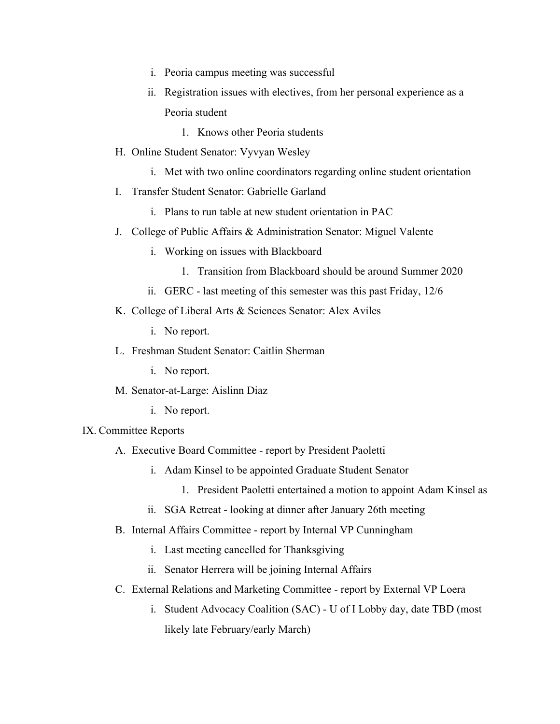- i. Peoria campus meeting was successful
- ii. Registration issues with electives, from her personal experience as a Peoria student
	- 1. Knows other Peoria students
- H. Online Student Senator: Vyvyan Wesley
	- i. Met with two online coordinators regarding online student orientation
- I. Transfer Student Senator: Gabrielle Garland
	- i. Plans to run table at new student orientation in PAC
- J. College of Public Affairs & Administration Senator: Miguel Valente
	- i. Working on issues with Blackboard
		- 1. Transition from Blackboard should be around Summer 2020
	- ii. GERC last meeting of this semester was this past Friday, 12/6
- K. College of Liberal Arts & Sciences Senator: Alex Aviles
	- i. No report.
- L. Freshman Student Senator: Caitlin Sherman
	- i. No report.
- M. Senator-at-Large: Aislinn Diaz
	- i. No report.
- IX. Committee Reports
	- A. Executive Board Committee report by President Paoletti
		- i. Adam Kinsel to be appointed Graduate Student Senator
			- 1. President Paoletti entertained a motion to appoint Adam Kinsel as
		- ii. SGA Retreat looking at dinner after January 26th meeting
	- B. Internal Affairs Committee report by Internal VP Cunningham
		- i. Last meeting cancelled for Thanksgiving
		- ii. Senator Herrera will be joining Internal Affairs
	- C. External Relations and Marketing Committee report by External VP Loera
		- i. Student Advocacy Coalition (SAC) U of I Lobby day, date TBD (most likely late February/early March)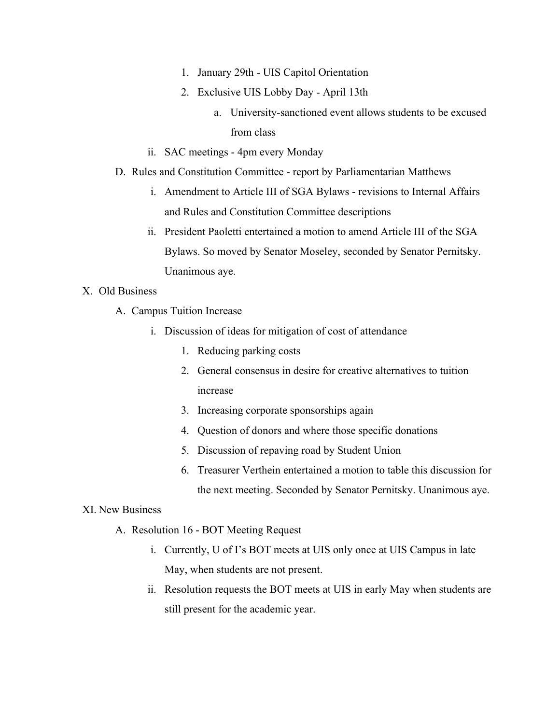- 1. January 29th UIS Capitol Orientation
- 2. Exclusive UIS Lobby Day April 13th
	- a. University-sanctioned event allows students to be excused from class
- ii. SAC meetings 4pm every Monday
- D. Rules and Constitution Committee report by Parliamentarian Matthews
	- i. Amendment to Article III of SGA Bylaws revisions to Internal Affairs and Rules and Constitution Committee descriptions
	- ii. President Paoletti entertained a motion to amend Article III of the SGA Bylaws. So moved by Senator Moseley, seconded by Senator Pernitsky. Unanimous aye.

#### X. Old Business

- A. Campus Tuition Increase
	- i. Discussion of ideas for mitigation of cost of attendance
		- 1. Reducing parking costs
		- 2. General consensus in desire for creative alternatives to tuition increase
		- 3. Increasing corporate sponsorships again
		- 4. Question of donors and where those specific donations
		- 5. Discussion of repaving road by Student Union
		- 6. Treasurer Verthein entertained a motion to table this discussion for the next meeting. Seconded by Senator Pernitsky. Unanimous aye.

#### XI. New Business

- A. Resolution 16 BOT Meeting Request
	- i. Currently, U of I's BOT meets at UIS only once at UIS Campus in late May, when students are not present.
	- ii. Resolution requests the BOT meets at UIS in early May when students are still present for the academic year.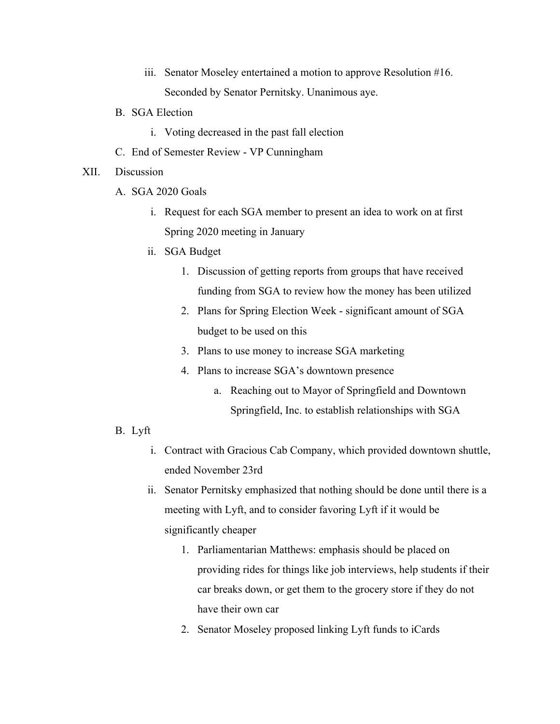- iii. Senator Moseley entertained a motion to approve Resolution #16. Seconded by Senator Pernitsky. Unanimous aye.
- B. SGA Election
	- i. Voting decreased in the past fall election
- C. End of Semester Review VP Cunningham
- XII. Discussion
	- A. SGA 2020 Goals
		- i. Request for each SGA member to present an idea to work on at first Spring 2020 meeting in January
		- ii. SGA Budget
			- 1. Discussion of getting reports from groups that have received funding from SGA to review how the money has been utilized
			- 2. Plans for Spring Election Week significant amount of SGA budget to be used on this
			- 3. Plans to use money to increase SGA marketing
			- 4. Plans to increase SGA's downtown presence
				- a. Reaching out to Mayor of Springfield and Downtown Springfield, Inc. to establish relationships with SGA
	- B. Lyft
		- i. Contract with Gracious Cab Company, which provided downtown shuttle, ended November 23rd
		- ii. Senator Pernitsky emphasized that nothing should be done until there is a meeting with Lyft, and to consider favoring Lyft if it would be significantly cheaper
			- 1. Parliamentarian Matthews: emphasis should be placed on providing rides for things like job interviews, help students if their car breaks down, or get them to the grocery store if they do not have their own car
			- 2. Senator Moseley proposed linking Lyft funds to iCards